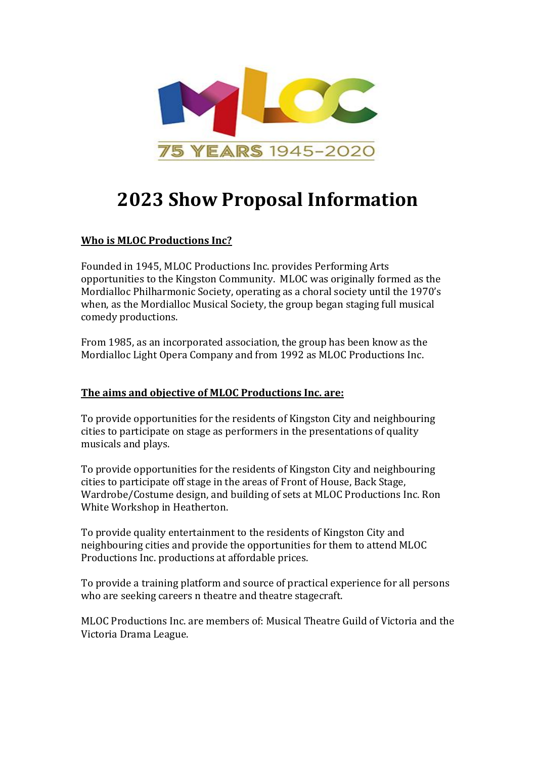

# **2023 Show Proposal Information**

# **Who is MLOC Productions Inc?**

Founded in 1945, MLOC Productions Inc. provides Performing Arts opportunities to the Kingston Community. MLOC was originally formed as the Mordialloc Philharmonic Society, operating as a choral society until the 1970's when, as the Mordialloc Musical Society, the group began staging full musical comedy productions.

From 1985, as an incorporated association, the group has been know as the Mordialloc Light Opera Company and from 1992 as MLOC Productions Inc.

# **The aims and objective of MLOC Productions Inc. are:**

To provide opportunities for the residents of Kingston City and neighbouring cities to participate on stage as performers in the presentations of quality musicals and plays.

To provide opportunities for the residents of Kingston City and neighbouring cities to participate off stage in the areas of Front of House, Back Stage, Wardrobe/Costume design, and building of sets at MLOC Productions Inc. Ron White Workshop in Heatherton.

To provide quality entertainment to the residents of Kingston City and neighbouring cities and provide the opportunities for them to attend MLOC Productions Inc. productions at affordable prices.

To provide a training platform and source of practical experience for all persons who are seeking careers n theatre and theatre stagecraft.

MLOC Productions Inc. are members of: Musical Theatre Guild of Victoria and the Victoria Drama League.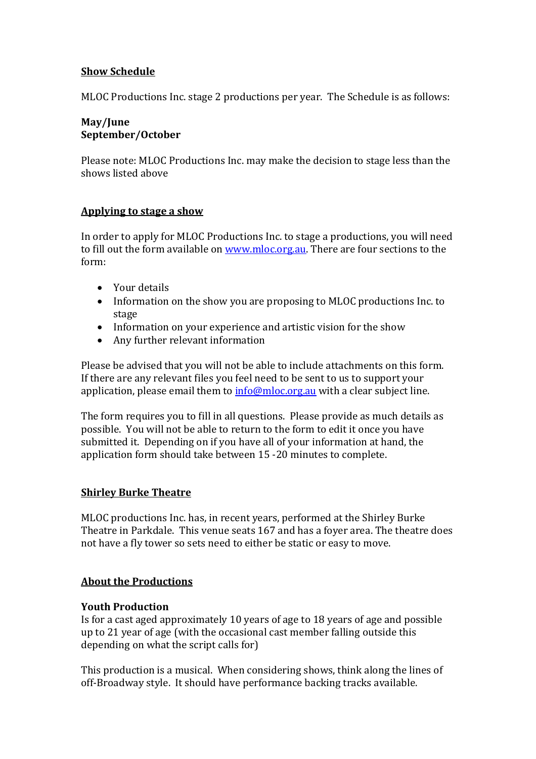## **Show Schedule**

MLOC Productions Inc. stage 2 productions per year. The Schedule is as follows:

## **May/June September/October**

Please note: MLOC Productions Inc. may make the decision to stage less than the shows listed above

## **Applying to stage a show**

In order to apply for MLOC Productions Inc. to stage a productions, you will need to fill out the form available on [www.mloc.org.au.](http://www.mloc.org.au/) There are four sections to the form:

- Your details
- Information on the show you are proposing to MLOC productions Inc. to stage
- Information on your experience and artistic vision for the show
- Any further relevant information

Please be advised that you will not be able to include attachments on this form. If there are any relevant files you feel need to be sent to us to support your application, please email them to [info@mloc.org.au](mailto:info@mloc.org.au) with a clear subject line.

The form requires you to fill in all questions. Please provide as much details as possible. You will not be able to return to the form to edit it once you have submitted it. Depending on if you have all of your information at hand, the application form should take between 15 -20 minutes to complete.

# **Shirley Burke Theatre**

MLOC productions Inc. has, in recent years, performed at the Shirley Burke Theatre in Parkdale. This venue seats 167 and has a foyer area. The theatre does not have a fly tower so sets need to either be static or easy to move.

# **About the Productions**

# **Youth Production**

Is for a cast aged approximately 10 years of age to 18 years of age and possible up to 21 year of age (with the occasional cast member falling outside this depending on what the script calls for)

This production is a musical. When considering shows, think along the lines of off-Broadway style. It should have performance backing tracks available.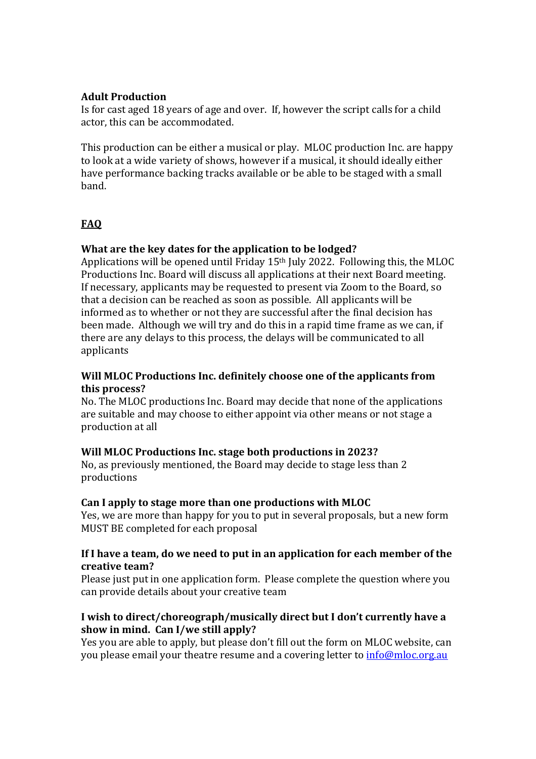## **Adult Production**

Is for cast aged 18 years of age and over. If, however the script calls for a child actor, this can be accommodated.

This production can be either a musical or play. MLOC production Inc. are happy to look at a wide variety of shows, however if a musical, it should ideally either have performance backing tracks available or be able to be staged with a small band.

# **FAQ**

# **What are the key dates for the application to be lodged?**

Applications will be opened until Friday 15th July 2022. Following this, the MLOC Productions Inc. Board will discuss all applications at their next Board meeting. If necessary, applicants may be requested to present via Zoom to the Board, so that a decision can be reached as soon as possible. All applicants will be informed as to whether or not they are successful after the final decision has been made. Although we will try and do this in a rapid time frame as we can, if there are any delays to this process, the delays will be communicated to all applicants

#### **Will MLOC Productions Inc. definitely choose one of the applicants from this process?**

No. The MLOC productions Inc. Board may decide that none of the applications are suitable and may choose to either appoint via other means or not stage a production at all

#### **Will MLOC Productions Inc. stage both productions in 2023?**

No, as previously mentioned, the Board may decide to stage less than 2 productions

#### **Can I apply to stage more than one productions with MLOC**

Yes, we are more than happy for you to put in several proposals, but a new form MUST BE completed for each proposal

#### **If I have a team, do we need to put in an application for each member of the creative team?**

Please just put in one application form. Please complete the question where you can provide details about your creative team

# **I wish to direct/choreograph/musically direct but I don't currently have a show in mind. Can I/we still apply?**

Yes you are able to apply, but please don't fill out the form on MLOC website, can you please email your theatre resume and a covering letter to [info@mloc.org.au](mailto:info@mloc.org.au)